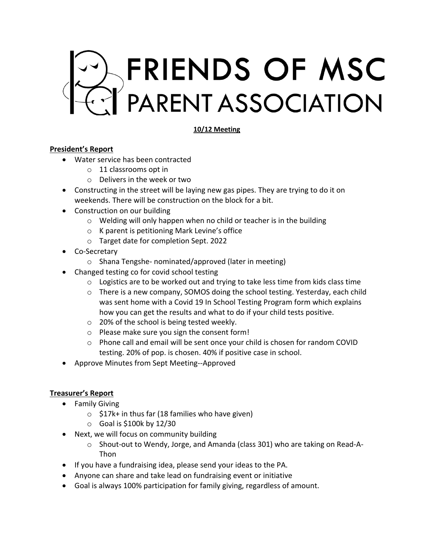

#### **10/12 Meeting**

#### **President's Report**

- Water service has been contracted
	- o 11 classrooms opt in
	- o Delivers in the week or two
- Constructing in the street will be laying new gas pipes. They are trying to do it on weekends. There will be construction on the block for a bit.
- Construction on our building
	- o Welding will only happen when no child or teacher is in the building
	- o K parent is petitioning Mark Levine's office
	- o Target date for completion Sept. 2022
- Co-Secretary
	- o Shana Tengshe- nominated/approved (later in meeting)
- Changed testing co for covid school testing
	- $\circ$  Logistics are to be worked out and trying to take less time from kids class time
	- o There is a new company, SOMOS doing the school testing. Yesterday, each child was sent home with a Covid 19 In School Testing Program form which explains how you can get the results and what to do if your child tests positive.
	- o 20% of the school is being tested weekly.
	- o Please make sure you sign the consent form!
	- o Phone call and email will be sent once your child is chosen for random COVID testing. 20% of pop. is chosen. 40% if positive case in school.
- Approve Minutes from Sept Meeting--Approved

## **Treasurer's Report**

- Family Giving
	- $\circ$  \$17k+ in thus far (18 families who have given)
	- $\circ$  Goal is \$100k by 12/30
- Next, we will focus on community building
	- o Shout-out to Wendy, Jorge, and Amanda (class 301) who are taking on Read-A-Thon
- If you have a fundraising idea, please send your ideas to the PA.
- Anyone can share and take lead on fundraising event or initiative
- Goal is always 100% participation for family giving, regardless of amount.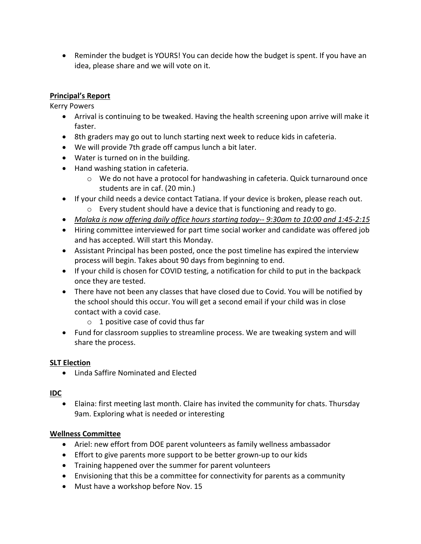• Reminder the budget is YOURS! You can decide how the budget is spent. If you have an idea, please share and we will vote on it.

# **Principal's Report**

Kerry Powers

- Arrival is continuing to be tweaked. Having the health screening upon arrive will make it faster.
- 8th graders may go out to lunch starting next week to reduce kids in cafeteria.
- We will provide 7th grade off campus lunch a bit later.
- Water is turned on in the building.
- Hand washing station in cafeteria.
	- $\circ$  We do not have a protocol for handwashing in cafeteria. Quick turnaround once students are in caf. (20 min.)
- If your child needs a device contact Tatiana. If your device is broken, please reach out.
	- o Every student should have a device that is functioning and ready to go.
- *Malaka is now offering daily office hours starting today-- 9:30am to 10:00 and 1:45-2:15*
- Hiring committee interviewed for part time social worker and candidate was offered job and has accepted. Will start this Monday.
- Assistant Principal has been posted, once the post timeline has expired the interview process will begin. Takes about 90 days from beginning to end.
- If your child is chosen for COVID testing, a notification for child to put in the backpack once they are tested.
- There have not been any classes that have closed due to Covid. You will be notified by the school should this occur. You will get a second email if your child was in close contact with a covid case.
	- $\circ$  1 positive case of covid thus far
- Fund for classroom supplies to streamline process. We are tweaking system and will share the process.

## **SLT Election**

• Linda Saffire Nominated and Elected

## **IDC**

• Elaina: first meeting last month. Claire has invited the community for chats. Thursday 9am. Exploring what is needed or interesting

## **Wellness Committee**

- Ariel: new effort from DOE parent volunteers as family wellness ambassador
- Effort to give parents more support to be better grown-up to our kids
- Training happened over the summer for parent volunteers
- Envisioning that this be a committee for connectivity for parents as a community
- Must have a workshop before Nov. 15